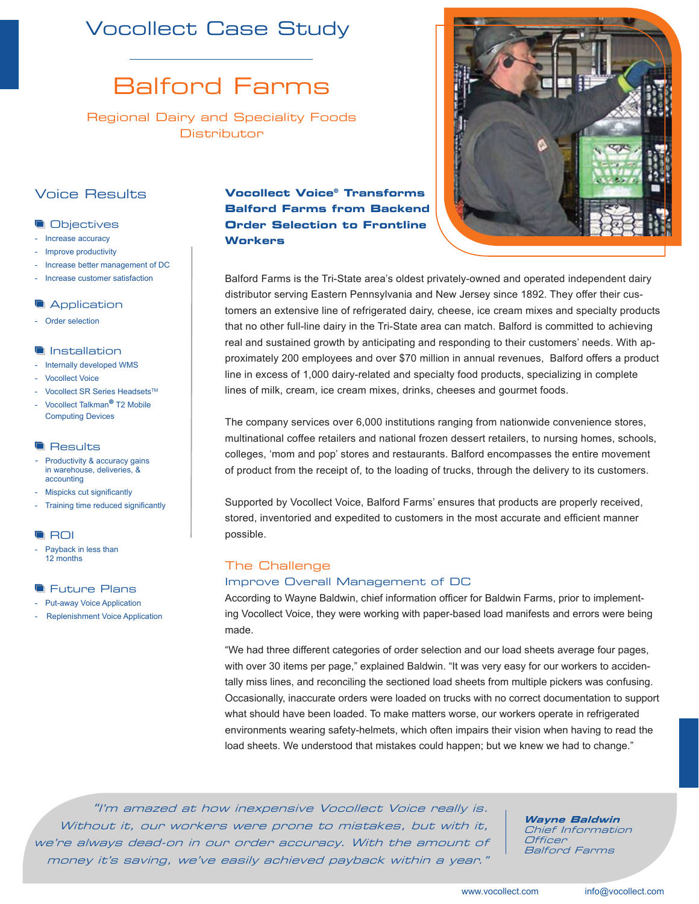## Vocollect Case Study

# Balford Farms

Regional Dairy and Speciality Foods **Distributor** 

## Voice Results

## **Objectives**

- Increase accuracy
- Improve productivity
- Increase better management of DC
- Increase customer satisfaction

#### **Application**

Order selection

## **Installation**

- Internally developed WMS
- Vocollect Voice
- Vocollect SR Series Headsets™
- Vocollect Talkman**®** T2 Mobile Computing Devices

#### **Results**

- Productivity & accuracy gains in warehouse, deliveries, & accounting
- Mispicks cut significantly
- Training time reduced significantly

## **G** ROI

Payback in less than 12 months

## **Future Plans**

- Put-away Voice Application
- Replenishment Voice Application

## **Vocollect Voice® Transforms Balford Farms from Backend Order Selection to Frontline Workers**



Balford Farms is the Tri-State area's oldest privately-owned and operated independent dairy distributor serving Eastern Pennsylvania and New Jersey since 1892. They offer their customers an extensive line of refrigerated dairy, cheese, ice cream mixes and specialty products that no other full-line dairy in the Tri-State area can match. Balford is committed to achieving real and sustained growth by anticipating and responding to their customers' needs. With approximately 200 employees and over \$70 million in annual revenues, Balford offers a product line in excess of 1,000 dairy-related and specialty food products, specializing in complete lines of milk, cream, ice cream mixes, drinks, cheeses and gourmet foods.

The company services over 6,000 institutions ranging from nationwide convenience stores, multinational coffee retailers and national frozen dessert retailers, to nursing homes, schools, colleges, 'mom and pop' stores and restaurants. Balford encompasses the entire movement of product from the receipt of, to the loading of trucks, through the delivery to its customers.

Supported by Vocollect Voice, Balford Farms' ensures that products are properly received, stored, inventoried and expedited to customers in the most accurate and efficient manner possible.

## The Challenge

## Improve Overall Management of DC

According to Wayne Baldwin, chief information officer for Baldwin Farms, prior to implementing Vocollect Voice, they were working with paper-based load manifests and errors were being made.

"We had three different categories of order selection and our load sheets average four pages, with over 30 items per page," explained Baldwin. "It was very easy for our workers to accidentally miss lines, and reconciling the sectioned load sheets from multiple pickers was confusing. Occasionally, inaccurate orders were loaded on trucks with no correct documentation to support what should have been loaded. To make matters worse, our workers operate in refrigerated environments wearing safety-helmets, which often impairs their vision when having to read the load sheets. We understood that mistakes could happen; but we knew we had to change."

"I'm amazed at how inexpensive Vocollect Voice really is. Without it, our workers were prone to mistakes, but with it, we're always dead-on in our order accuracy. With the amount of money it's saving, we've easily achieved payback within a year."

**Wayne Baldwin** Chief Information **Officer** Balford Farms